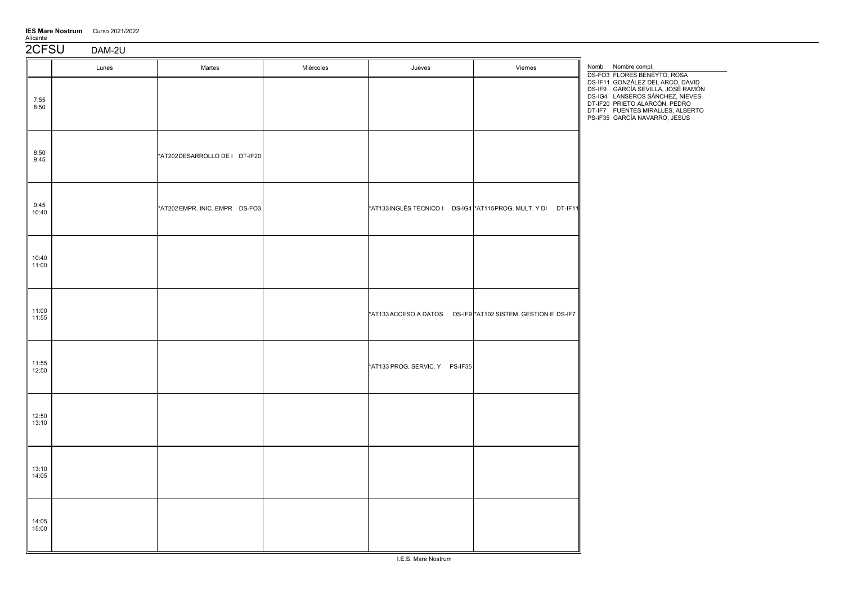| <b>IES Mare Nostrum</b> | Curso 2021/2022 |
|-------------------------|-----------------|
| Alicante                |                 |

| 2CFSU            | DAM-2U |                                |           |                                |                                                              |                                                                                                                                                                                                                |
|------------------|--------|--------------------------------|-----------|--------------------------------|--------------------------------------------------------------|----------------------------------------------------------------------------------------------------------------------------------------------------------------------------------------------------------------|
|                  | Lunes  | Martes                         | Miércoles | Jueves                         | Viernes                                                      | Nomb Nombre compl.<br><b>DS-FO3 FLORES BENEYTO, ROSA</b>                                                                                                                                                       |
| 7:55<br>8:50     |        |                                |           |                                |                                                              | DS-IF11 GONZÁLEZ DEL ARCO, DAVID<br>DS-IF9 GARCÍA SEVILLA, JOSÉ RAMÓN<br>DS-IG4 LANSEROS SÁNCHEZ, NIEVES<br>DT-IF20 PRIETO ALARCÓN, PEDRO<br>DT-IF7 FUENTES MIRALLES, ALBERTO<br>PS-IF35 GARCÍA NAVARRO, JESÚS |
| $8:50$<br>$9:45$ |        | *AT202DESARROLLO DE I DT-IF20  |           |                                |                                                              |                                                                                                                                                                                                                |
| 9:45<br>10:40    |        | *AT202 EMPR. INIC. EMPR DS-FO3 |           |                                | *AT133INGLÉS TÉCNICO I DS-IG4 *AT115PROG. MULT. Y DI DT-IF11 |                                                                                                                                                                                                                |
| 10:40<br>11:00   |        |                                |           |                                |                                                              |                                                                                                                                                                                                                |
| 11:00<br>11:55   |        |                                |           |                                | *AT133 ACCESO A DATOS DS-IF9 *AT102 SISTEM. GESTION E DS-IF7 |                                                                                                                                                                                                                |
| 11:55<br>12:50   |        |                                |           | *AT133 PROG. SERVIC. Y PS-IF35 |                                                              |                                                                                                                                                                                                                |
| 12:50<br>13:10   |        |                                |           |                                |                                                              |                                                                                                                                                                                                                |
| 13:10<br>14:05   |        |                                |           |                                |                                                              |                                                                                                                                                                                                                |
| 14:05<br>15:00   |        |                                |           |                                |                                                              |                                                                                                                                                                                                                |